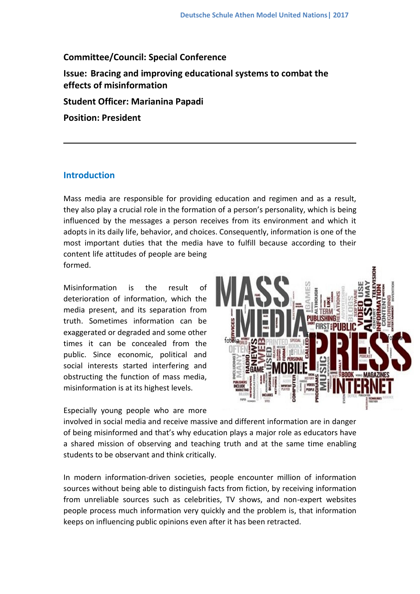# **Committee/Council: Special Conference**

**Issue: Bracing and improving educational systems to combat the effects of misinformation**

**Student Officer: Marianina Papadi**

**Position: President**

# **Introduction**

Mass media are responsible for providing education and regimen and as a result, they also play a crucial role in the formation of a person's personality, which is being influenced by the messages a person receives from its environment and which it adopts in its daily life, behavior, and choices. Consequently, information is one of the most important duties that the media have to fulfill because according to their content life attitudes of people are being formed.

Misinformation is the result of deterioration of information, which the media present, and its separation from truth. Sometimes information can be exaggerated or degraded and some other times it can be concealed from the public. Since economic, political and social interests started interfering and obstructing the function of mass media, misinformation is at its highest levels.

Especially young people who are more



involved in social media and receive massive and different information are in danger of being misinformed and that's why education plays a major role as educators have a shared mission of observing and teaching truth and at the same time enabling students to be observant and think critically.

In modern information-driven societies, people encounter million of information sources without being able to distinguish facts from fiction, by receiving information from unreliable sources such as celebrities, TV shows, and non-expert websites people process much information very quickly and the problem is, that information keeps on influencing public opinions even after it has been retracted.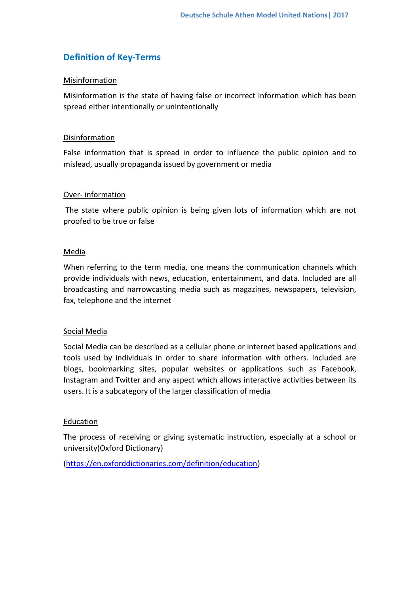# **Definition of Key-Terms**

## Misinformation

Misinformation is the state of having false or incorrect information which has been spread either intentionally or unintentionally

#### Disinformation

False information that is spread in order to influence the public opinion and to mislead, usually propaganda issued by government or media

## Over- information

The state where public opinion is being given lots of information which are not proofed to be true or false

## Media

When referring to the term media, one means the communication channels which provide individuals with news, education, entertainment, and data. Included are all broadcasting and narrowcasting media such as magazines, newspapers, television, fax, telephone and the internet

#### Social Media

Social Media can be described as a cellular phone or internet based applications and tools used by individuals in order to share information with others. Included are blogs, bookmarking sites, popular websites or applications such as Facebook, Instagram and Twitter and any aspect which allows interactive activities between its users. It is a subcategory of the larger classification of media

# Education

The process of receiving or giving systematic instruction, especially at a school or university(Oxford Dictionary)

[\(https://en.oxforddictionaries.com/definition/education\)](https://en.oxforddictionaries.com/definition/education)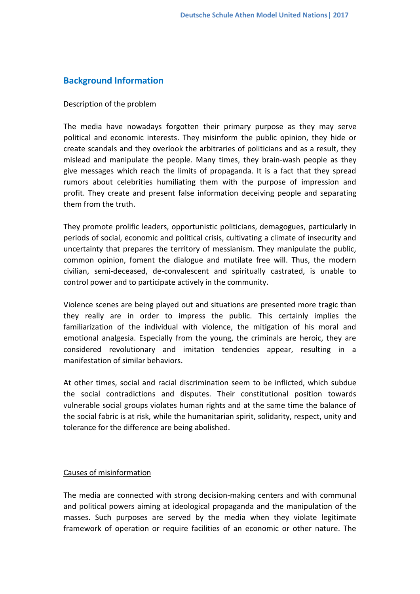# **Background Information**

#### Description of the problem

The media have nowadays forgotten their primary purpose as they may serve political and economic interests. They misinform the public opinion, they hide or create scandals and they overlook the arbitraries of politicians and as a result, they mislead and manipulate the people. Many times, they brain-wash people as they give messages which reach the limits of propaganda. It is a fact that they spread rumors about celebrities humiliating them with the purpose of impression and profit. They create and present false information deceiving people and separating them from the truth.

They promote prolific leaders, opportunistic politicians, demagogues, particularly in periods of social, economic and political crisis, cultivating a climate of insecurity and uncertainty that prepares the territory of messianism. They manipulate the public, common opinion, foment the dialogue and mutilate free will. Thus, the modern civilian, semi-deceased, de-convalescent and spiritually castrated, is unable to control power and to participate actively in the community.

Violence scenes are being played out and situations are presented more tragic than they really are in order to impress the public. This certainly implies the familiarization of the individual with violence, the mitigation of his moral and emotional analgesia. Especially from the young, the criminals are heroic, they are considered revolutionary and imitation tendencies appear, resulting in a manifestation of similar behaviors.

At other times, social and racial discrimination seem to be inflicted, which subdue the social contradictions and disputes. Their constitutional position towards vulnerable social groups violates human rights and at the same time the balance of the social fabric is at risk, while the humanitarian spirit, solidarity, respect, unity and tolerance for the difference are being abolished.

#### Causes of misinformation

The media are connected with strong decision-making centers and with communal and political powers aiming at ideological propaganda and the manipulation of the masses. Such purposes are served by the media when they violate legitimate framework of operation or require facilities of an economic or other nature. The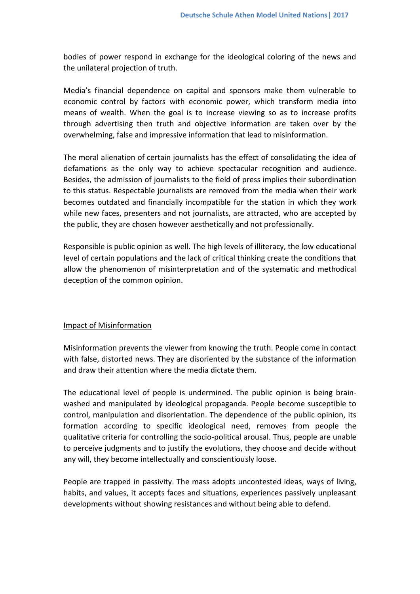bodies of power respond in exchange for the ideological coloring of the news and the unilateral projection of truth.

Media's financial dependence on capital and sponsors make them vulnerable to economic control by factors with economic power, which transform media into means of wealth. When the goal is to increase viewing so as to increase profits through advertising then truth and objective information are taken over by the overwhelming, false and impressive information that lead to misinformation.

The moral alienation of certain journalists has the effect of consolidating the idea of defamations as the only way to achieve spectacular recognition and audience. Besides, the admission of journalists to the field of press implies their subordination to this status. Respectable journalists are removed from the media when their work becomes outdated and financially incompatible for the station in which they work while new faces, presenters and not journalists, are attracted, who are accepted by the public, they are chosen however aesthetically and not professionally.

Responsible is public opinion as well. The high levels of illiteracy, the low educational level of certain populations and the lack of critical thinking create the conditions that allow the phenomenon of misinterpretation and of the systematic and methodical deception of the common opinion.

#### Impact of Misinformation

Misinformation prevents the viewer from knowing the truth. People come in contact with false, distorted news. They are disoriented by the substance of the information and draw their attention where the media dictate them.

The educational level of people is undermined. The public opinion is being brainwashed and manipulated by ideological propaganda. People become susceptible to control, manipulation and disorientation. The dependence of the public opinion, its formation according to specific ideological need, removes from people the qualitative criteria for controlling the socio-political arousal. Thus, people are unable to perceive judgments and to justify the evolutions, they choose and decide without any will, they become intellectually and conscientiously loose.

People are trapped in passivity. The mass adopts uncontested ideas, ways of living, habits, and values, it accepts faces and situations, experiences passively unpleasant developments without showing resistances and without being able to defend.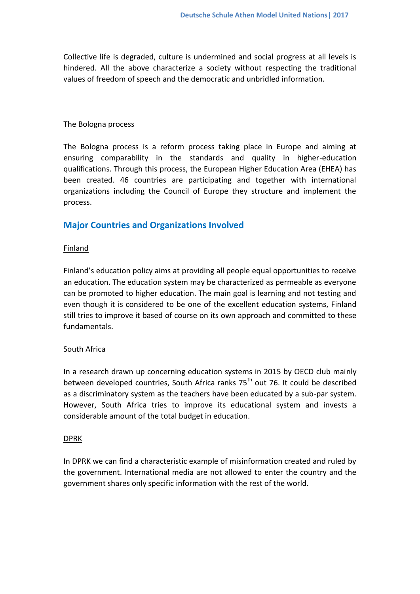Collective life is degraded, culture is undermined and social progress at all levels is hindered. All the above characterize a society without respecting the traditional values of freedom of speech and the democratic and unbridled information.

#### The Bologna process

The Bologna process is a reform process taking place in Europe and aiming at ensuring comparability in the standards and quality in higher-education qualifications. Through this process, the European Higher Education Area (EHEA) has been created. 46 countries are participating and together with international organizations including the Council of Europe they structure and implement the process.

# **Major Countries and Organizations Involved**

#### **Finland**

Finland's education policy aims at providing all people equal opportunities to receive an education. The education system may be characterized as permeable as everyone can be promoted to higher education. The main goal is learning and not testing and even though it is considered to be one of the excellent education systems, Finland still tries to improve it based of course on its own approach and committed to these fundamentals.

#### South Africa

In a research drawn up concerning education systems in 2015 by OECD club mainly between developed countries, South Africa ranks 75<sup>th</sup> out 76. It could be described as a discriminatory system as the teachers have been educated by a sub-par system. However, South Africa tries to improve its educational system and invests a considerable amount of the total budget in education.

#### DPRK

In DPRK we can find a characteristic example of misinformation created and ruled by the government. International media are not allowed to enter the country and the government shares only specific information with the rest of the world.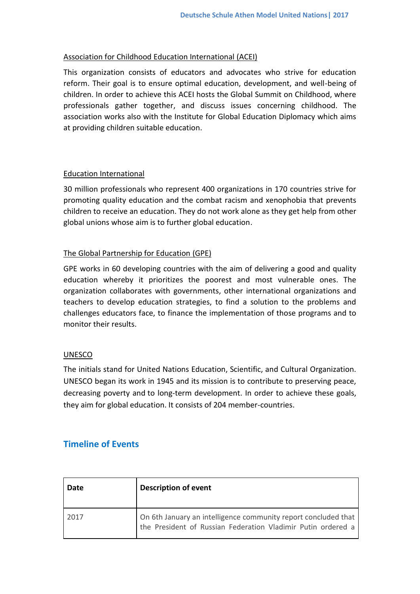## Association for Childhood Education International (ACEI)

This organization consists of educators and advocates who strive for education reform. Their goal is to ensure optimal education, development, and well-being of children. In order to achieve this ACEI hosts the Global Summit on Childhood, where professionals gather together, and discuss issues concerning childhood. The association works also with the Institute for Global Education Diplomacy which aims at providing children suitable education.

## Education International

30 million professionals who represent 400 organizations in 170 countries strive for promoting quality education and the combat racism and xenophobia that prevents children to receive an education. They do not work alone as they get help from other global unions whose aim is to further global education.

## The Global Partnership for Education (GPE)

GPE works in 60 developing countries with the aim of delivering a good and quality education whereby it prioritizes the poorest and most vulnerable ones. The organization collaborates with governments, other international organizations and teachers to develop education strategies, to find a solution to the problems and challenges educators face, to finance the implementation of those programs and to monitor their results.

#### UNESCO

The initials stand for United Nations Education, Scientific, and Cultural Organization. UNESCO began its work in 1945 and its mission is to contribute to preserving peace, decreasing poverty and to long-term development. In order to achieve these goals, they aim for global education. It consists of 204 member-countries.

# **Timeline of Events**

| Date | <b>Description of event</b>                                                                                                    |
|------|--------------------------------------------------------------------------------------------------------------------------------|
| 2017 | On 6th January an intelligence community report concluded that<br>the President of Russian Federation Vladimir Putin ordered a |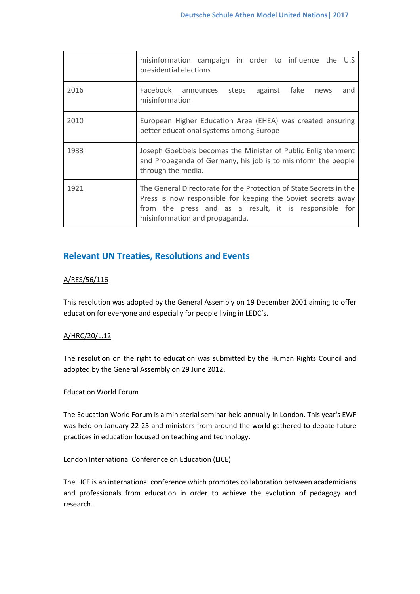|      | misinformation campaign in order to influence the U.S<br>presidential elections                                                                                                                                               |
|------|-------------------------------------------------------------------------------------------------------------------------------------------------------------------------------------------------------------------------------|
| 2016 | Facebook announces steps against fake news<br>and<br>misinformation                                                                                                                                                           |
| 2010 | European Higher Education Area (EHEA) was created ensuring<br>better educational systems among Europe                                                                                                                         |
| 1933 | Joseph Goebbels becomes the Minister of Public Enlightenment<br>and Propaganda of Germany, his job is to misinform the people<br>through the media.                                                                           |
| 1921 | The General Directorate for the Protection of State Secrets in the<br>Press is now responsible for keeping the Soviet secrets away<br>from the press and as a result, it is responsible for<br>misinformation and propaganda, |

# **Relevant UN Treaties, Resolutions and Events**

#### A/RES/56/116

This resolution was adopted by the General Assembly on 19 December 2001 aiming to offer education for everyone and especially for people living in LEDC's.

#### A/HRC/20/L.12

The resolution on the right to education was submitted by the Human Rights Council and adopted by the General Assembly on 29 June 2012.

#### Education World Forum

The Education World Forum is a ministerial seminar held annually in London. This year's EWF was held on January 22-25 and ministers from around the world gathered to debate future practices in education focused on teaching and technology.

#### London International Conference on Education (LICE)

The LICE is an international conference which promotes collaboration between academicians and professionals from education in order to achieve the evolution of pedagogy and research.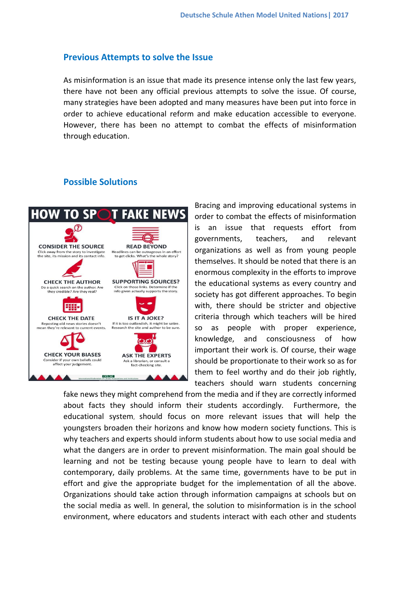#### **Previous Attempts to solve the Issue**

As misinformation is an issue that made its presence intense only the last few years, there have not been any official previous attempts to solve the issue. Of course, many strategies have been adopted and many measures have been put into force in order to achieve educational reform and make education accessible to everyone. However, there has been no attempt to combat the effects of misinformation through education.

# **Possible Solutions**



Bracing and improving educational systems in order to combat the effects of misinformation is an issue that requests effort from governments, teachers, and relevant organizations as well as from young people themselves. It should be noted that there is an enormous complexity in the efforts to improve the educational systems as every country and society has got different approaches. To begin with, there should be stricter and objective criteria through which teachers will be hired so as people with proper experience, knowledge, and consciousness of how important their work is. Of course, their wage should be proportionate to their work so as for them to feel worthy and do their job rightly, teachers should warn students concerning

fake news they might comprehend from the media and if they are correctly informed about facts they should inform their students accordingly. Furthermore, the educational system, should focus on more relevant issues that will help the youngsters broaden their horizons and know how modern society functions. This is why teachers and experts should inform students about how to use social media and what the dangers are in order to prevent misinformation. The main goal should be learning and not be testing because young people have to learn to deal with contemporary, daily problems. At the same time, governments have to be put in effort and give the appropriate budget for the implementation of all the above. Organizations should take action through information campaigns at schools but on the social media as well. In general, the solution to misinformation is in the school environment, where educators and students interact with each other and students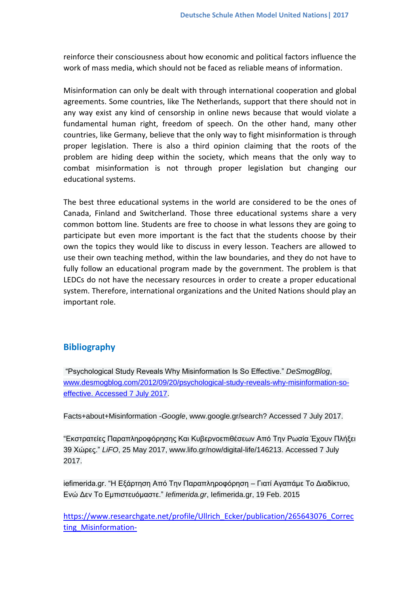reinforce their consciousness about how economic and political factors influence the work of mass media, which should not be faced as reliable means of information.

Misinformation can only be dealt with through international cooperation and global agreements. Some countries, like The Netherlands, support that there should not in any way exist any kind of censorship in online news because that would violate a fundamental human right, freedom of speech. On the other hand, many other countries, like Germany, believe that the only way to fight misinformation is through proper legislation. There is also a third opinion claiming that the roots of the problem are hiding deep within the society, which means that the only way to combat misinformation is not through proper legislation but changing our educational systems.

The best three educational systems in the world are considered to be the ones of Canada, Finland and Switcherland. Those three educational systems share a very common bottom line. Students are free to choose in what lessons they are going to participate but even more important is the fact that the students choose by their own the topics they would like to discuss in every lesson. Teachers are allowed to use their own teaching method, within the law boundaries, and they do not have to fully follow an educational program made by the government. Τhe problem is that LEDCs do not have the necessary resources in order to create a proper educational system. Therefore, international organizations and the United Nations should play an important role.

# **Bibliography**

"Psychological Study Reveals Why Misinformation Is So Effective." *DeSmogBlog*, [www.desmogblog.com/2012/09/20/psychological-study-reveals-why-misinformation-so](http://www.desmogblog.com/2012/09/20/psychological-study-reveals-why-misinformation-so-effective.%20Accessed%207%20July%202017)[effective. Accessed 7 July 2017.](http://www.desmogblog.com/2012/09/20/psychological-study-reveals-why-misinformation-so-effective.%20Accessed%207%20July%202017)

Facts+about+Misinformation -*Google*, www.google.gr/search? Accessed 7 July 2017.

"Εκστρατείες Παραπληροφόρησης Και Κυβερνοεπιθέσεων Από Την Ρωσία Έχουν Πλήξει 39 Χώρες." *LiFO*, 25 May 2017, www.lifo.gr/now/digital-life/146213. Accessed 7 July 2017.

iefimerida.gr. "Η Εξάρτηση Από Την Παραπληροφόρηση – Γιατί Αγαπάμε Το Διαδίκτυο, Ενώ Δεν Το Εμπιστευόμαστε." *Iefimerida.gr*, Iefimerida.gr, 19 Feb. 2015

[https://www.researchgate.net/profile/Ullrich\\_Ecker/publication/265643076\\_Correc](https://www.researchgate.net/profile/Ullrich_Ecker/publication/265643076_Correcting_Misinformation-A_Challenge_for_Education_and_Cognitive_Science/links/54174f270cf2218008bee319/Correcting-Misinformation-A-Challenge-for-Education-and-Cognitive-Science.pdf) ting Misinformation